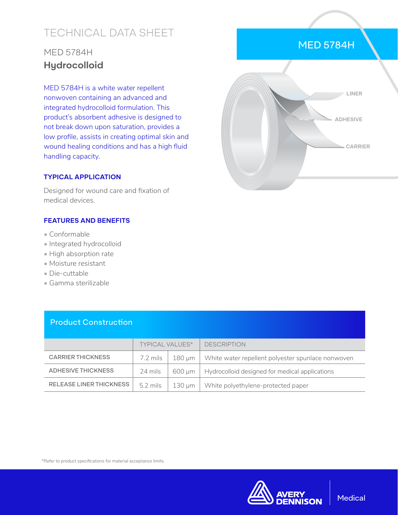# TECHNICAL DATA SHEET

## MED 5784H **Hydrocolloid**

MED 5784H is a white water repellent nonwoven containing an advanced and integrated hydrocolloid formulation. This product's absorbent adhesive is designed to not break down upon saturation, provides a low profile, assists in creating optimal skin and wound healing conditions and has a high fluid handling capacity.

#### **TYPICAL APPLICATION**

Designed for wound care and fixation of medical devices.

#### **FEATURES AND BENEFITS**

- Conformable
- Integrated hydrocolloid
- High absorption rate
- Moisture resistant
- Die-cuttable
- Gamma sterilizable

Product Construction

|                                | <b>TYPICAL VALUES*</b> |        | <b>DESCRIPTION</b>                                |
|--------------------------------|------------------------|--------|---------------------------------------------------|
| <b>CARRIER THICKNESS</b>       | 7.2 mils               | 180 um | White water repellent polyester spunlace nonwoven |
| <b>ADHESIVE THICKNESS</b>      | 24 mils                | 600 um | Hydrocolloid designed for medical applications    |
| <b>RELEASE LINER THICKNESS</b> | 5.2 mils               | 130 µm | White polyethylene-protected paper                |

\*Refer to product specifications for material acceptance limits.



### MED 5784H